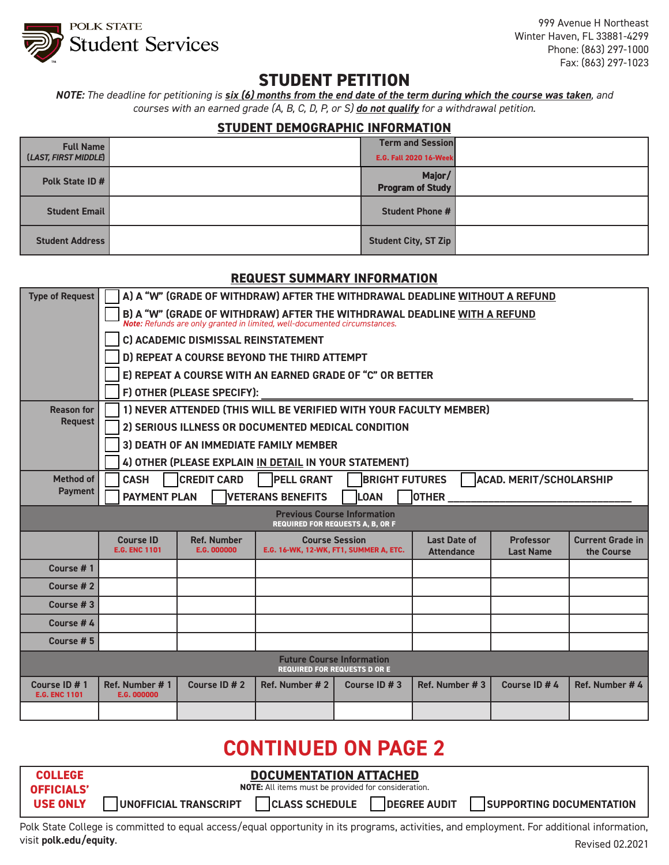

999 Avenue H Northeast Winter Haven, FL 33881-4299 Phone: (863) 297-1000 Fax: (863) 297-1023

## **STUDENT PETITION**

*NOTE: The deadline for petitioning is six (6) months from the end date of the term during which the course was taken, and courses with an earned grade (A, B, C, D, P, or S) do not qualify for a withdrawal petition.* 

### **STUDENT DEMOGRAPHIC INFORMATION**

| <b>Full Name</b><br>(LAST, FIRST MIDDLE) | <b>Term and Session</b><br><b>E.G. Fall 2020 16-Week</b> |  |
|------------------------------------------|----------------------------------------------------------|--|
| Polk State ID #                          | Major/<br><b>Program of Study</b>                        |  |
| <b>Student Email</b>                     | <b>Student Phone #</b>                                   |  |
| <b>Student Address</b>                   | <b>Student City, ST Zip</b>                              |  |

#### **REQUEST SUMMARY INFORMATION**

| <b>Type of Request</b>                | A) A "W" (GRADE OF WITHDRAW) AFTER THE WITHDRAWAL DEADLINE WITHOUT A REFUND                                                                        |                                          |                |                                                                               |                                          |                                      |                                       |  |
|---------------------------------------|----------------------------------------------------------------------------------------------------------------------------------------------------|------------------------------------------|----------------|-------------------------------------------------------------------------------|------------------------------------------|--------------------------------------|---------------------------------------|--|
|                                       | B) A "W" (GRADE OF WITHDRAW) AFTER THE WITHDRAWAL DEADLINE WITH A REFUND Note: Refunds are only granted in limited, well-documented circumstances. |                                          |                |                                                                               |                                          |                                      |                                       |  |
|                                       | C) ACADEMIC DISMISSAL REINSTATEMENT                                                                                                                |                                          |                |                                                                               |                                          |                                      |                                       |  |
|                                       | D) REPEAT A COURSE BEYOND THE THIRD ATTEMPT                                                                                                        |                                          |                |                                                                               |                                          |                                      |                                       |  |
|                                       | E) REPEAT A COURSE WITH AN EARNED GRADE OF "C" OR BETTER                                                                                           |                                          |                |                                                                               |                                          |                                      |                                       |  |
|                                       | F) OTHER (PLEASE SPECIFY):                                                                                                                         |                                          |                |                                                                               |                                          |                                      |                                       |  |
| <b>Reason for</b>                     | 1) NEVER ATTENDED (THIS WILL BE VERIFIED WITH YOUR FACULTY MEMBER)                                                                                 |                                          |                |                                                                               |                                          |                                      |                                       |  |
| <b>Request</b>                        | 2) SERIOUS ILLNESS OR DOCUMENTED MEDICAL CONDITION                                                                                                 |                                          |                |                                                                               |                                          |                                      |                                       |  |
|                                       | 3) DEATH OF AN IMMEDIATE FAMILY MEMBER                                                                                                             |                                          |                |                                                                               |                                          |                                      |                                       |  |
|                                       | 4) OTHER (PLEASE EXPLAIN IN DETAIL IN YOUR STATEMENT)                                                                                              |                                          |                |                                                                               |                                          |                                      |                                       |  |
| <b>Method of</b>                      | <b>ACAD. MERIT/SCHOLARSHIP</b><br><b>CREDIT CARD</b><br><b>PELL GRANT</b><br><b>BRIGHT FUTURES</b><br><b>CASH</b>                                  |                                          |                |                                                                               |                                          |                                      |                                       |  |
| <b>Payment</b>                        | <b>PAYMENT PLAN</b><br><b>VETERANS BENEFITS</b><br><b>OTHER</b><br><b>LOAN</b>                                                                     |                                          |                |                                                                               |                                          |                                      |                                       |  |
|                                       |                                                                                                                                                    |                                          |                |                                                                               |                                          |                                      |                                       |  |
|                                       |                                                                                                                                                    |                                          |                | <b>Previous Course Information</b><br><b>REQUIRED FOR REQUESTS A, B, OR F</b> |                                          |                                      |                                       |  |
|                                       | <b>Course ID</b><br><b>E.G. ENC 1101</b>                                                                                                           | <b>Ref. Number</b><br><b>E.G. 000000</b> |                | <b>Course Session</b><br><b>E.G. 16-WK, 12-WK, FT1, SUMMER A, ETC.</b>        | <b>Last Date of</b><br><b>Attendance</b> | <b>Professor</b><br><b>Last Name</b> | <b>Current Grade in</b><br>the Course |  |
| Course #1                             |                                                                                                                                                    |                                          |                |                                                                               |                                          |                                      |                                       |  |
| Course #2                             |                                                                                                                                                    |                                          |                |                                                                               |                                          |                                      |                                       |  |
| Course #3                             |                                                                                                                                                    |                                          |                |                                                                               |                                          |                                      |                                       |  |
| Course #4                             |                                                                                                                                                    |                                          |                |                                                                               |                                          |                                      |                                       |  |
| Course #5                             |                                                                                                                                                    |                                          |                |                                                                               |                                          |                                      |                                       |  |
|                                       |                                                                                                                                                    |                                          |                | <b>Future Course Information</b><br><b>REQUIRED FOR REQUESTS D OR E</b>       |                                          |                                      |                                       |  |
| Course ID # 1<br><b>E.G. ENC 1101</b> | Ref. Number #1<br><b>E.G. 000000</b>                                                                                                               | Course ID # 2                            | Ref. Number #2 | Course ID # 3                                                                 | Ref. Number #3                           | Course ID # 4                        | Ref. Number # 4                       |  |

# **CONTINUED ON PAGE 2**

| <b>COLLEGE</b>    | <b>DOCUMENTATION ATTACHED</b>                                                                            |  |  |  |  |
|-------------------|----------------------------------------------------------------------------------------------------------|--|--|--|--|
| <b>OFFICIALS'</b> | <b>NOTE:</b> All items must be provided for consideration.                                               |  |  |  |  |
| <b>USE ONLY</b>   | <b>CLASS SCHEDULE</b><br><b>DEGREE AUDIT</b><br><b>UNOFFICIAL TRANSCRIPT</b><br>SUPPORTING DOCUMENTATION |  |  |  |  |

Polk State College is committed to equal access/equal opportunity in its programs, activities, and employment. For additional information, visit **polk.edu/equity**. Revised 02.2021